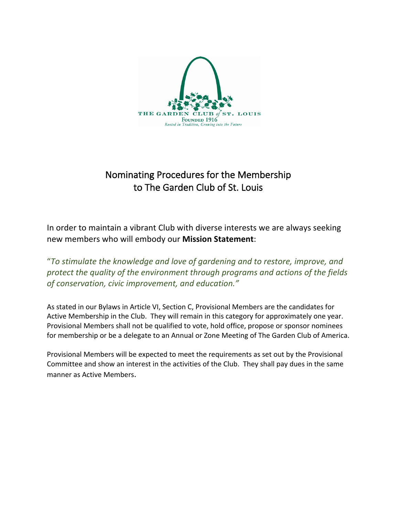

# Nominating Procedures for the Membership to The Garden Club of St. Louis

In order to maintain a vibrant Club with diverse interests we are always seeking new members who will embody our **Mission Statement**:

"*To stimulate the knowledge and love of gardening and to restore, improve, and protect the quality of the environment through programs and actions of the fields of conservation, civic improvement, and education."*

 As stated in our Bylaws in Article VI, Section C, Provisional Members are the candidates for Active Membership in the Club. They will remain in this category for approximately one year. Provisional Members shall not be qualified to vote, hold office, propose or sponsor nominees for membership or be a delegate to an Annual or Zone Meeting of The Garden Club of America.

Provisional Members will be expected to meet the requirements as set out by the Provisional Committee and show an interest in the activities of the Club. They shall pay dues in the same manner as Active Members.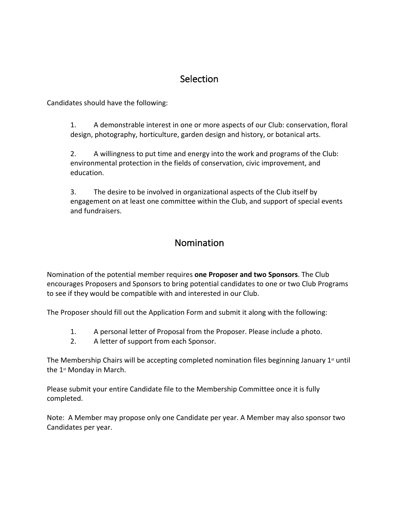## **Selection**

Candidates should have the following:

1. A demonstrable interest in one or more aspects of our Club: conservation, floral design, photography, horticulture, garden design and history, or botanical arts.

2. A willingness to put time and energy into the work and programs of the Club: environmental protection in the fields of conservation, civic improvement, and education.

3. The desire to be involved in organizational aspects of the Club itself by engagement on at least one committee within the Club, and support of special events and fundraisers.

### Nomination

Nomination of the potential member requires **one Proposer and two Sponsors**. The Club encourages Proposers and Sponsors to bring potential candidates to one or two Club Programs to see if they would be compatible with and interested in our Club.

The Proposer should fill out the Application Form and submit it along with the following:

- 1. A personal letter of Proposal from the Proposer. Please include a photo.
- 2. A letter of support from each Sponsor.

The Membership Chairs will be accepting completed nomination files beginning January  $1<sup>st</sup>$  until the 1st Monday in March.

Please submit your entire Candidate file to the Membership Committee once it is fully completed.

Note: A Member may propose only one Candidate per year. A Member may also sponsor two Candidates per year.